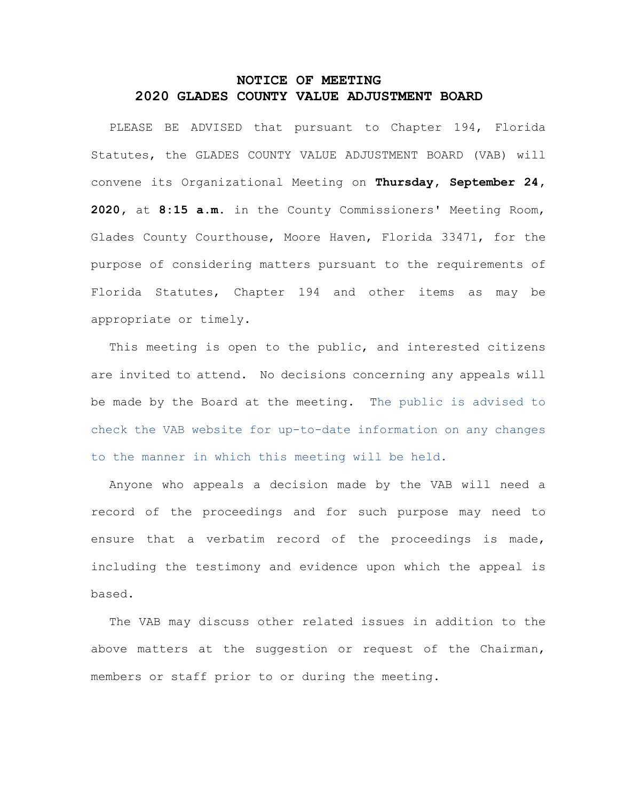## **NOTICE OF MEETING 2020 GLADES COUNTY VALUE ADJUSTMENT BOARD**

PLEASE BE ADVISED that pursuant to Chapter 194, Florida Statutes, the GLADES COUNTY VALUE ADJUSTMENT BOARD (VAB) will convene its Organizational Meeting on **Thursday, September 24, 2020,** at **8:15 a.m.** in the County Commissioners' Meeting Room, Glades County Courthouse, Moore Haven, Florida 33471, for the purpose of considering matters pursuant to the requirements of Florida Statutes, Chapter 194 and other items as may be appropriate or timely.

This meeting is open to the public, and interested citizens are invited to attend. No decisions concerning any appeals will be made by the Board at the meeting. The public is advised to check the VAB website for up-to-date information on any changes to the manner in which this meeting will be held.

Anyone who appeals a decision made by the VAB will need a record of the proceedings and for such purpose may need to ensure that a verbatim record of the proceedings is made, including the testimony and evidence upon which the appeal is based.

The VAB may discuss other related issues in addition to the above matters at the suggestion or request of the Chairman, members or staff prior to or during the meeting.